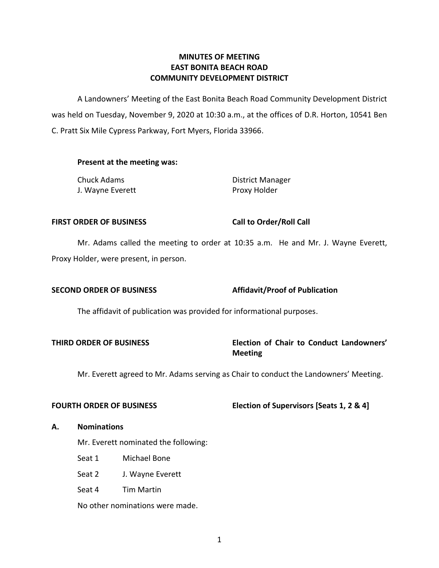# **COMMUNITY DEVELOPMENT DISTRICT MINUTES OF MEETING EAST BONITA BEACH ROAD**

 A Landowners' Meeting of the East Bonita Beach Road Community Development District was held on Tuesday, November 9, 2020 at 10:30 a.m., at the offices of D.R. Horton, 10541 Ben C. Pratt Six Mile Cypress Parkway, Fort Myers, Florida 33966.

# **Present at the meeting was:**

| Chuck Adams      | <b>District Manager</b> |
|------------------|-------------------------|
| J. Wayne Everett | Proxy Holder            |

#### **FIRST ORDER OF BUSINESS**

**Call to Order/Roll Call** 

 Mr. Adams called the meeting to order at 10:35 a.m. He and Mr. J. Wayne Everett, Proxy Holder, were present, in person.

# **SECOND ORDER OF BUSINESS** Affidavit/Proof of Publication

The affidavit of publication was provided for informational purposes.

# **THIRD ORDER OF BUSINESS Election of Chair to Conduct Landowners' Meeting**

Mr. Everett agreed to Mr. Adams serving as Chair to conduct the Landowners' Meeting.

### **FOURTH ORDER OF BUSINESS**

# **Flection of Supervisors [Seats 1, 2 & 4]**

### **A. Nominations**

Mr. Everett nominated the following:

- Seat 1 Michael Bone
- Seat 2 J. Wayne Everett
- Seat 4 Tim Martin

No other nominations were made.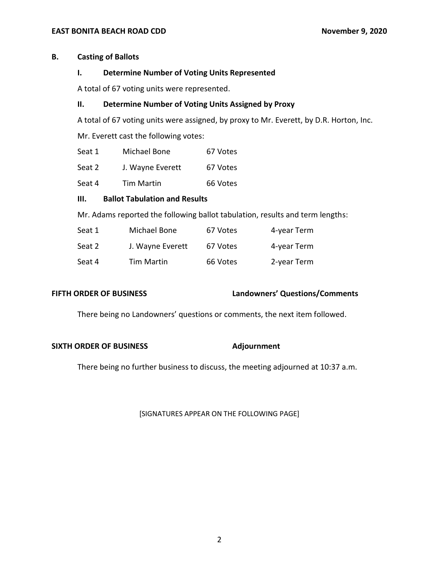### **B. Casting of Ballots**

#### **I. Determine Number of Voting Units Represented**

A total of 67 voting units were represented.

# **II. Determine Number of Voting Units Assigned by Proxy**

A total of 67 voting units were assigned, by proxy to Mr. Everett, by D.R. Horton, Inc.

Mr. Everett cast the following votes:

| Seat 1 | Michael Bone | 67 Votes |
|--------|--------------|----------|
|--------|--------------|----------|

- Seat 2 J. Wayne Everett 67 Votes
- Seat 4 Tim Martin 66 Votes

## **III. Ballot Tabulation and Results**

Mr. Adams reported the following ballot tabulation, results and term lengths:

| Seat 1 | Michael Bone      | 67 Votes | 4-year Term |
|--------|-------------------|----------|-------------|
| Seat 2 | J. Wayne Everett  | 67 Votes | 4-year Term |
| Seat 4 | <b>Tim Martin</b> | 66 Votes | 2-year Term |

### **FIFTH ORDER OF BUSINESS**

### **FIFTH ORDER OF BUSINESS Landowners' Questions/Comments**

There being no Landowners' questions or comments, the next item followed.

#### **SIXTH ORDER OF BUSINESS** Adjournment

There being no further business to discuss, the meeting adjourned at 10:37 a.m.

[SIGNATURES APPEAR ON THE FOLLOWING PAGE]